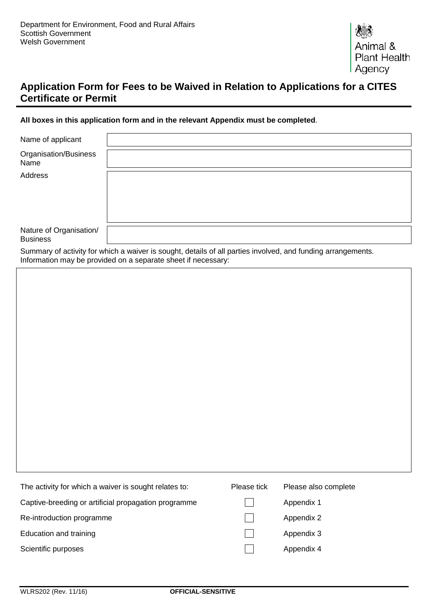

# **Application Form for Fees to be Waived in Relation to Applications for a CITES Certificate or Permit**

**All boxes in this application form and in the relevant Appendix must be completed**.

| Name of applicant                          |  |
|--------------------------------------------|--|
| Organisation/Business<br>Name              |  |
| Address                                    |  |
| Nature of Organisation/<br><b>Business</b> |  |

Summary of activity for which a waiver is sought, details of all parties involved, and funding arrangements. Information may be provided on a separate sheet if necessary:

| The activity for which a waiver is sought relates to: | Please tick | Please also complete |
|-------------------------------------------------------|-------------|----------------------|
| Captive-breeding or artificial propagation programme  |             | Appendix 1           |
| Re-introduction programme                             |             | Appendix 2           |
| Education and training                                |             | Appendix 3           |
| Scientific purposes                                   |             | Appendix 4           |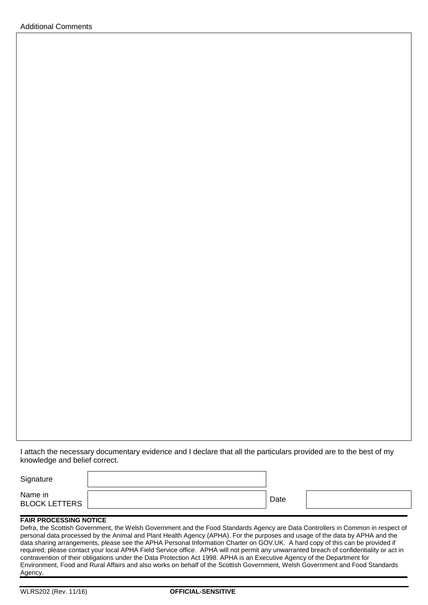I attach the necessary documentary evidence and I declare that all the particulars provided are to the best of my knowledge and belief correct.

| Signature                       |      |  |
|---------------------------------|------|--|
| Name in<br><b>BLOCK LETTERS</b> | Date |  |

#### **FAIR PROCESSING NOTICE**

Defra, the Scottish Government, the Welsh Government and the Food Standards Agency are Data Controllers in Common in respect of personal data processed by the Animal and Plant Health Agency (APHA). For the purposes and usage of the data by APHA and the data sharing arrangements, please see the APHA Personal Information Charter on GOV.UK. A hard copy of this can be provided if required; please contact your local APHA Field Service office. APHA will not permit any unwarranted breach of confidentiality or act in contravention of their obligations under the Data Protection Act 1998. APHA is an Executive Agency of the Department for Environment, Food and Rural Affairs and also works on behalf of the Scottish Government, Welsh Government and Food Standards Agency.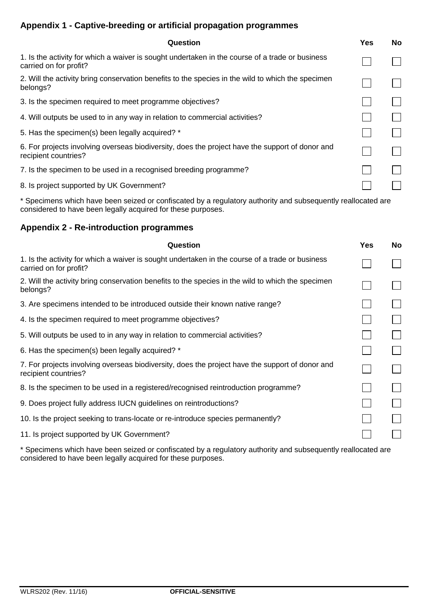#### **Appendix 1 - Captive-breeding or artificial propagation programmes**

| Question                                                                                                                  | Yes | No |
|---------------------------------------------------------------------------------------------------------------------------|-----|----|
| 1. Is the activity for which a waiver is sought undertaken in the course of a trade or business<br>carried on for profit? |     |    |
| 2. Will the activity bring conservation benefits to the species in the wild to which the specimen<br>belongs?             |     |    |
| 3. Is the specimen required to meet programme objectives?                                                                 |     |    |
| 4. Will outputs be used to in any way in relation to commercial activities?                                               |     |    |
| 5. Has the specimen(s) been legally acquired? *                                                                           |     |    |
| 6. For projects involving overseas biodiversity, does the project have the support of donor and<br>recipient countries?   |     |    |
| 7. Is the specimen to be used in a recognised breeding programme?                                                         |     |    |
| 8. Is project supported by UK Government?                                                                                 |     |    |

\* Specimens which have been seized or confiscated by a regulatory authority and subsequently reallocated are considered to have been legally acquired for these purposes.

#### **Appendix 2 - Re-introduction programmes**

| <b>Yes</b> | No |
|------------|----|
|            |    |
|            |    |
|            |    |
|            |    |
|            |    |
|            |    |
|            |    |
|            |    |
|            |    |
|            |    |
|            |    |
|            |    |

\* Specimens which have been seized or confiscated by a regulatory authority and subsequently reallocated are considered to have been legally acquired for these purposes.